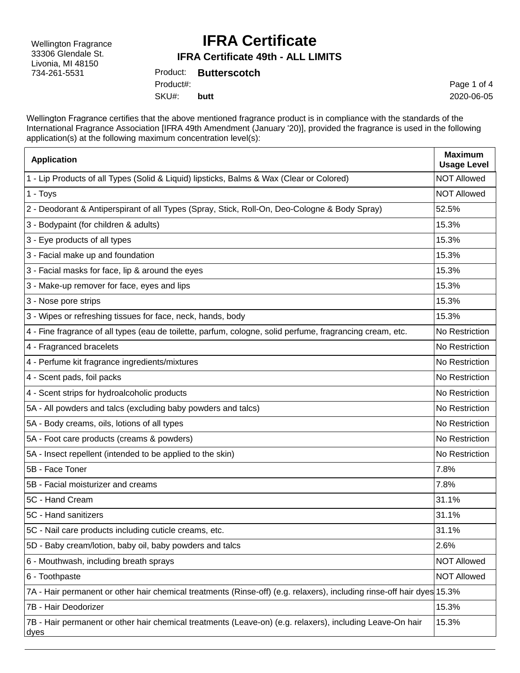Wellington Fragrance 33306 Glendale St. Livonia, MI 48150 734-261-5531

## **IFRA Certificate**

#### **IFRA Certificate 49th - ALL LIMITS**

Product: **Butterscotch** SKU#: Product#: **butt**

Page 1 of 4 2020-06-05

Wellington Fragrance certifies that the above mentioned fragrance product is in compliance with the standards of the International Fragrance Association [IFRA 49th Amendment (January '20)], provided the fragrance is used in the following application(s) at the following maximum concentration level(s):

| <b>Application</b>                                                                                                     | <b>Maximum</b><br><b>Usage Level</b> |
|------------------------------------------------------------------------------------------------------------------------|--------------------------------------|
| 1 - Lip Products of all Types (Solid & Liquid) lipsticks, Balms & Wax (Clear or Colored)                               | <b>NOT Allowed</b>                   |
| 1 - Toys                                                                                                               | <b>NOT Allowed</b>                   |
| 2 - Deodorant & Antiperspirant of all Types (Spray, Stick, Roll-On, Deo-Cologne & Body Spray)                          | 52.5%                                |
| 3 - Bodypaint (for children & adults)                                                                                  | 15.3%                                |
| 3 - Eye products of all types                                                                                          | 15.3%                                |
| 3 - Facial make up and foundation                                                                                      | 15.3%                                |
| 3 - Facial masks for face, lip & around the eyes                                                                       | 15.3%                                |
| 3 - Make-up remover for face, eyes and lips                                                                            | 15.3%                                |
| 3 - Nose pore strips                                                                                                   | 15.3%                                |
| 3 - Wipes or refreshing tissues for face, neck, hands, body                                                            | 15.3%                                |
| 4 - Fine fragrance of all types (eau de toilette, parfum, cologne, solid perfume, fragrancing cream, etc.              | No Restriction                       |
| 4 - Fragranced bracelets                                                                                               | No Restriction                       |
| 4 - Perfume kit fragrance ingredients/mixtures                                                                         | No Restriction                       |
| 4 - Scent pads, foil packs                                                                                             | No Restriction                       |
| 4 - Scent strips for hydroalcoholic products                                                                           | No Restriction                       |
| 5A - All powders and talcs (excluding baby powders and talcs)                                                          | No Restriction                       |
| 5A - Body creams, oils, lotions of all types                                                                           | No Restriction                       |
| 5A - Foot care products (creams & powders)                                                                             | No Restriction                       |
| 5A - Insect repellent (intended to be applied to the skin)                                                             | No Restriction                       |
| 5B - Face Toner                                                                                                        | 7.8%                                 |
| 5B - Facial moisturizer and creams                                                                                     | 7.8%                                 |
| 5C - Hand Cream                                                                                                        | 31.1%                                |
| 5C - Hand sanitizers                                                                                                   | 31.1%                                |
| 5C - Nail care products including cuticle creams, etc.                                                                 | 31.1%                                |
| 5D - Baby cream/lotion, baby oil, baby powders and talcs                                                               | 2.6%                                 |
| 6 - Mouthwash, including breath sprays                                                                                 | <b>NOT Allowed</b>                   |
| 6 - Toothpaste                                                                                                         | <b>NOT Allowed</b>                   |
| 7A - Hair permanent or other hair chemical treatments (Rinse-off) (e.g. relaxers), including rinse-off hair dyes 15.3% |                                      |
| 7B - Hair Deodorizer                                                                                                   | 15.3%                                |
| 7B - Hair permanent or other hair chemical treatments (Leave-on) (e.g. relaxers), including Leave-On hair<br>dyes      | 15.3%                                |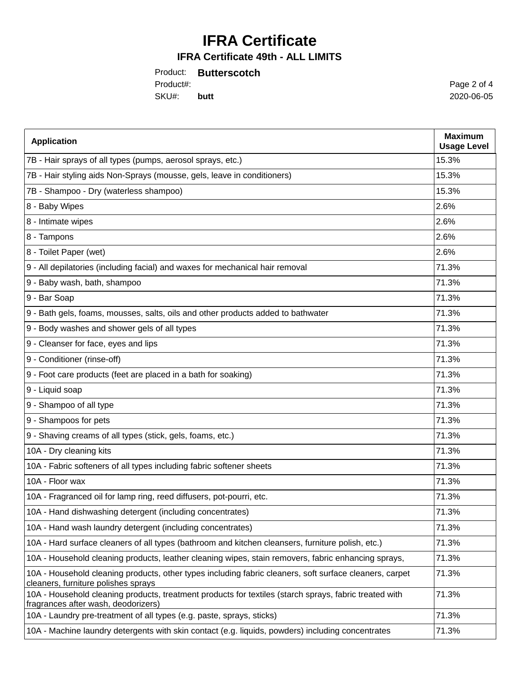# **IFRA Certificate**

### **IFRA Certificate 49th - ALL LIMITS**

|           | Product: Butterscotch |
|-----------|-----------------------|
| Product#: |                       |
| SKU#:     | butt                  |

Page 2 of 4 2020-06-05

| <b>Application</b>                                                                                                                             | <b>Maximum</b><br><b>Usage Level</b> |
|------------------------------------------------------------------------------------------------------------------------------------------------|--------------------------------------|
| 7B - Hair sprays of all types (pumps, aerosol sprays, etc.)                                                                                    | 15.3%                                |
| 7B - Hair styling aids Non-Sprays (mousse, gels, leave in conditioners)                                                                        | 15.3%                                |
| 7B - Shampoo - Dry (waterless shampoo)                                                                                                         | 15.3%                                |
| 8 - Baby Wipes                                                                                                                                 | 2.6%                                 |
| 8 - Intimate wipes                                                                                                                             | 2.6%                                 |
| 8 - Tampons                                                                                                                                    | 2.6%                                 |
| 8 - Toilet Paper (wet)                                                                                                                         | 2.6%                                 |
| 9 - All depilatories (including facial) and waxes for mechanical hair removal                                                                  | 71.3%                                |
| 9 - Baby wash, bath, shampoo                                                                                                                   | 71.3%                                |
| 9 - Bar Soap                                                                                                                                   | 71.3%                                |
| 9 - Bath gels, foams, mousses, salts, oils and other products added to bathwater                                                               | 71.3%                                |
| 9 - Body washes and shower gels of all types                                                                                                   | 71.3%                                |
| 9 - Cleanser for face, eyes and lips                                                                                                           | 71.3%                                |
| 9 - Conditioner (rinse-off)                                                                                                                    | 71.3%                                |
| 9 - Foot care products (feet are placed in a bath for soaking)                                                                                 | 71.3%                                |
| 9 - Liquid soap                                                                                                                                | 71.3%                                |
| 9 - Shampoo of all type                                                                                                                        | 71.3%                                |
| 9 - Shampoos for pets                                                                                                                          | 71.3%                                |
| 9 - Shaving creams of all types (stick, gels, foams, etc.)                                                                                     | 71.3%                                |
| 10A - Dry cleaning kits                                                                                                                        | 71.3%                                |
| 10A - Fabric softeners of all types including fabric softener sheets                                                                           | 71.3%                                |
| 10A - Floor wax                                                                                                                                | 71.3%                                |
| 10A - Fragranced oil for lamp ring, reed diffusers, pot-pourri, etc.                                                                           | 71.3%                                |
| 10A - Hand dishwashing detergent (including concentrates)                                                                                      | 71.3%                                |
| 10A - Hand wash laundry detergent (including concentrates)                                                                                     | 71.3%                                |
| 10A - Hard surface cleaners of all types (bathroom and kitchen cleansers, furniture polish, etc.)                                              | 71.3%                                |
| 10A - Household cleaning products, leather cleaning wipes, stain removers, fabric enhancing sprays,                                            | 71.3%                                |
| 10A - Household cleaning products, other types including fabric cleaners, soft surface cleaners, carpet<br>cleaners, furniture polishes sprays | 71.3%                                |
| 10A - Household cleaning products, treatment products for textiles (starch sprays, fabric treated with<br>fragrances after wash, deodorizers)  | 71.3%                                |
| 10A - Laundry pre-treatment of all types (e.g. paste, sprays, sticks)                                                                          | 71.3%                                |
| 10A - Machine laundry detergents with skin contact (e.g. liquids, powders) including concentrates                                              | 71.3%                                |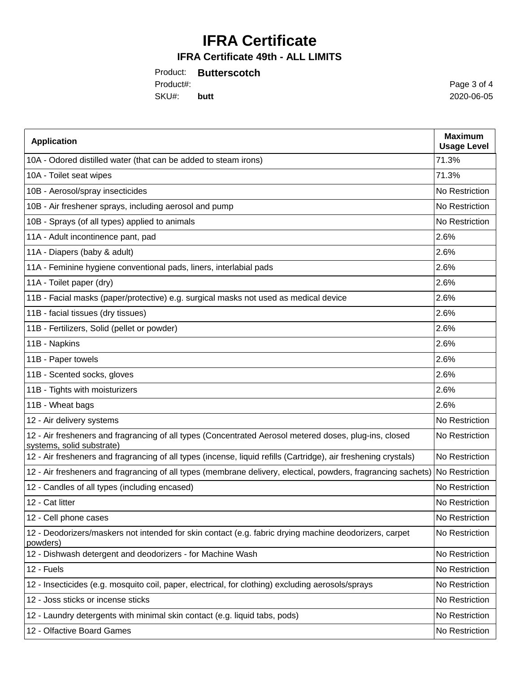# **IFRA Certificate**

### **IFRA Certificate 49th - ALL LIMITS**

|            | Product: Butterscotch |
|------------|-----------------------|
| Product#:  |                       |
| SKU#: butt |                       |

Page 3 of 4 2020-06-05

| <b>Application</b>                                                                                                                  | <b>Maximum</b><br><b>Usage Level</b> |
|-------------------------------------------------------------------------------------------------------------------------------------|--------------------------------------|
| 10A - Odored distilled water (that can be added to steam irons)                                                                     | 71.3%                                |
| 10A - Toilet seat wipes                                                                                                             | 71.3%                                |
| 10B - Aerosol/spray insecticides                                                                                                    | No Restriction                       |
| 10B - Air freshener sprays, including aerosol and pump                                                                              | No Restriction                       |
| 10B - Sprays (of all types) applied to animals                                                                                      | No Restriction                       |
| 11A - Adult incontinence pant, pad                                                                                                  | 2.6%                                 |
| 11A - Diapers (baby & adult)                                                                                                        | 2.6%                                 |
| 11A - Feminine hygiene conventional pads, liners, interlabial pads                                                                  | 2.6%                                 |
| 11A - Toilet paper (dry)                                                                                                            | 2.6%                                 |
| 11B - Facial masks (paper/protective) e.g. surgical masks not used as medical device                                                | 2.6%                                 |
| 11B - facial tissues (dry tissues)                                                                                                  | 2.6%                                 |
| 11B - Fertilizers, Solid (pellet or powder)                                                                                         | 2.6%                                 |
| 11B - Napkins                                                                                                                       | 2.6%                                 |
| 11B - Paper towels                                                                                                                  | 2.6%                                 |
| 11B - Scented socks, gloves                                                                                                         | 2.6%                                 |
| 11B - Tights with moisturizers                                                                                                      | 2.6%                                 |
| 11B - Wheat bags                                                                                                                    | 2.6%                                 |
| 12 - Air delivery systems                                                                                                           | No Restriction                       |
| 12 - Air fresheners and fragrancing of all types (Concentrated Aerosol metered doses, plug-ins, closed<br>systems, solid substrate) | No Restriction                       |
| 12 - Air fresheners and fragrancing of all types (incense, liquid refills (Cartridge), air freshening crystals)                     | No Restriction                       |
| 12 - Air fresheners and fragrancing of all types (membrane delivery, electical, powders, fragrancing sachets)                       | No Restriction                       |
| 12 - Candles of all types (including encased)                                                                                       | No Restriction                       |
| 12 - Cat litter                                                                                                                     | No Restriction                       |
| 12 - Cell phone cases                                                                                                               | No Restriction                       |
| 12 - Deodorizers/maskers not intended for skin contact (e.g. fabric drying machine deodorizers, carpet<br>powders)                  | No Restriction                       |
| 12 - Dishwash detergent and deodorizers - for Machine Wash                                                                          | No Restriction                       |
| 12 - Fuels                                                                                                                          | No Restriction                       |
| 12 - Insecticides (e.g. mosquito coil, paper, electrical, for clothing) excluding aerosols/sprays                                   | No Restriction                       |
| 12 - Joss sticks or incense sticks                                                                                                  | No Restriction                       |
| 12 - Laundry detergents with minimal skin contact (e.g. liquid tabs, pods)                                                          | No Restriction                       |
| 12 - Olfactive Board Games                                                                                                          | No Restriction                       |